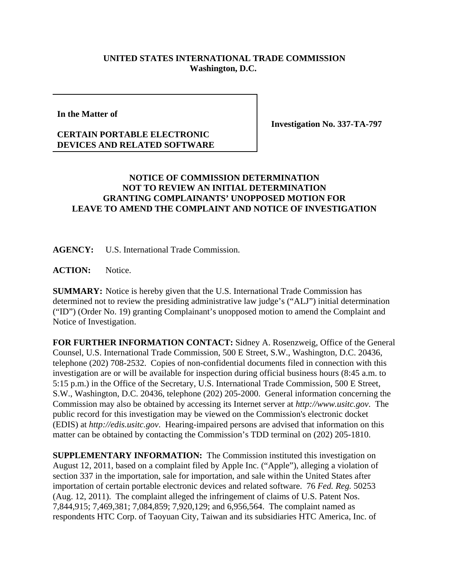## **UNITED STATES INTERNATIONAL TRADE COMMISSION Washington, D.C.**

**In the Matter of**

**CERTAIN PORTABLE ELECTRONIC DEVICES AND RELATED SOFTWARE** **Investigation No. 337-TA-797**

## **NOTICE OF COMMISSION DETERMINATION NOT TO REVIEW AN INITIAL DETERMINATION GRANTING COMPLAINANTS' UNOPPOSED MOTION FOR LEAVE TO AMEND THE COMPLAINT AND NOTICE OF INVESTIGATION**

**AGENCY:** U.S. International Trade Commission.

ACTION: Notice.

**SUMMARY:** Notice is hereby given that the U.S. International Trade Commission has determined not to review the presiding administrative law judge's ("ALJ") initial determination ("ID") (Order No. 19) granting Complainant's unopposed motion to amend the Complaint and Notice of Investigation.

**FOR FURTHER INFORMATION CONTACT:** Sidney A. Rosenzweig, Office of the General Counsel, U.S. International Trade Commission, 500 E Street, S.W., Washington, D.C. 20436, telephone (202) 708-2532. Copies of non-confidential documents filed in connection with this investigation are or will be available for inspection during official business hours (8:45 a.m. to 5:15 p.m.) in the Office of the Secretary, U.S. International Trade Commission, 500 E Street, S.W., Washington, D.C. 20436, telephone (202) 205-2000. General information concerning the Commission may also be obtained by accessing its Internet server at *http://www.usitc.gov*. The public record for this investigation may be viewed on the Commission's electronic docket (EDIS) at *http://edis.usitc.gov*. Hearing-impaired persons are advised that information on this matter can be obtained by contacting the Commission's TDD terminal on (202) 205-1810.

**SUPPLEMENTARY INFORMATION:** The Commission instituted this investigation on August 12, 2011, based on a complaint filed by Apple Inc. ("Apple"), alleging a violation of section 337 in the importation, sale for importation, and sale within the United States after importation of certain portable electronic devices and related software. 76 *Fed. Reg.* 50253 (Aug. 12, 2011). The complaint alleged the infringement of claims of U.S. Patent Nos. 7,844,915; 7,469,381; 7,084,859; 7,920,129; and 6,956,564. The complaint named as respondents HTC Corp. of Taoyuan City, Taiwan and its subsidiaries HTC America, Inc. of